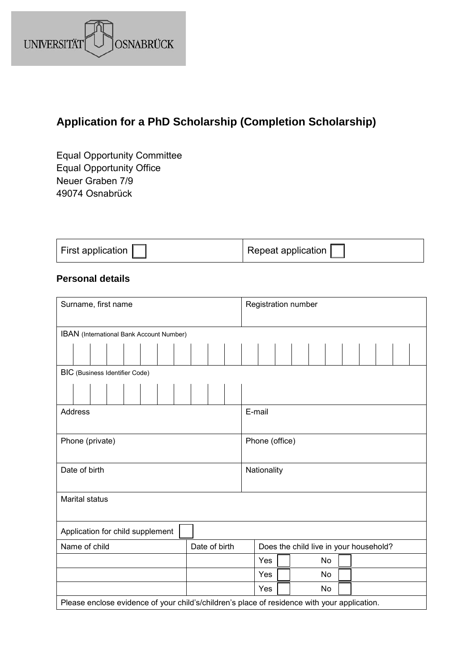

# **Application for a PhD Scholarship (Completion Scholarship)**

Equal Opportunity Committee Equal Opportunity Office Neuer Graben 7/9 49074 Osnabrück

| First application $\sqrt{\phantom{a}}$ | Repeat application |
|----------------------------------------|--------------------|
|----------------------------------------|--------------------|

### **Personal details**

| Surname, first name                                                                          |  |  |  |  |  |                                        |                | Registration number |  |     |  |    |  |    |  |  |  |  |  |  |  |
|----------------------------------------------------------------------------------------------|--|--|--|--|--|----------------------------------------|----------------|---------------------|--|-----|--|----|--|----|--|--|--|--|--|--|--|
| IBAN (International Bank Account Number)                                                     |  |  |  |  |  |                                        |                |                     |  |     |  |    |  |    |  |  |  |  |  |  |  |
|                                                                                              |  |  |  |  |  |                                        |                |                     |  |     |  |    |  |    |  |  |  |  |  |  |  |
| BIC (Business Identifier Code)                                                               |  |  |  |  |  |                                        |                |                     |  |     |  |    |  |    |  |  |  |  |  |  |  |
|                                                                                              |  |  |  |  |  |                                        |                |                     |  |     |  |    |  |    |  |  |  |  |  |  |  |
| Address                                                                                      |  |  |  |  |  |                                        |                | E-mail              |  |     |  |    |  |    |  |  |  |  |  |  |  |
| Phone (private)                                                                              |  |  |  |  |  |                                        | Phone (office) |                     |  |     |  |    |  |    |  |  |  |  |  |  |  |
| Date of birth                                                                                |  |  |  |  |  |                                        | Nationality    |                     |  |     |  |    |  |    |  |  |  |  |  |  |  |
| Marital status                                                                               |  |  |  |  |  |                                        |                |                     |  |     |  |    |  |    |  |  |  |  |  |  |  |
| Application for child supplement                                                             |  |  |  |  |  |                                        |                |                     |  |     |  |    |  |    |  |  |  |  |  |  |  |
| Name of child<br>Date of birth                                                               |  |  |  |  |  | Does the child live in your household? |                |                     |  |     |  |    |  |    |  |  |  |  |  |  |  |
|                                                                                              |  |  |  |  |  |                                        |                |                     |  | Yes |  |    |  | No |  |  |  |  |  |  |  |
|                                                                                              |  |  |  |  |  |                                        |                |                     |  | Yes |  |    |  | No |  |  |  |  |  |  |  |
|                                                                                              |  |  |  |  |  |                                        |                | Yes                 |  |     |  | No |  |    |  |  |  |  |  |  |  |
| Please enclose evidence of your child's/children's place of residence with your application. |  |  |  |  |  |                                        |                |                     |  |     |  |    |  |    |  |  |  |  |  |  |  |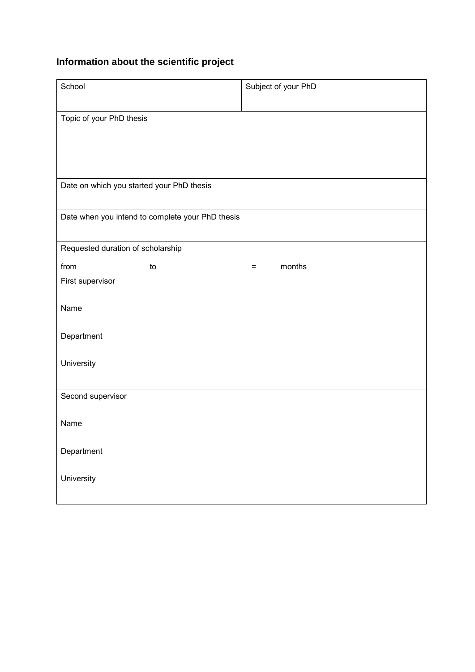# **Information about the scientific project**

| School                                           | Subject of your PhD |
|--------------------------------------------------|---------------------|
| Topic of your PhD thesis                         |                     |
|                                                  |                     |
|                                                  |                     |
| Date on which you started your PhD thesis        |                     |
|                                                  |                     |
| Date when you intend to complete your PhD thesis |                     |
|                                                  |                     |
| Requested duration of scholarship                |                     |
| from<br>to                                       | months<br>$=$       |
| First supervisor                                 |                     |
| Name                                             |                     |
| Department                                       |                     |
| University                                       |                     |
|                                                  |                     |
| Second supervisor                                |                     |
| Name                                             |                     |
| Department                                       |                     |
| University                                       |                     |
|                                                  |                     |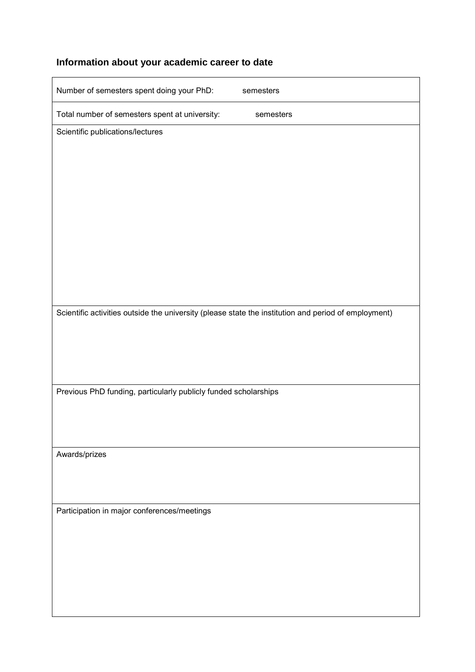# **Information about your academic career to date**

| Number of semesters spent doing your PhD:<br>semesters                                               |
|------------------------------------------------------------------------------------------------------|
| Total number of semesters spent at university:<br>semesters                                          |
| Scientific publications/lectures                                                                     |
|                                                                                                      |
|                                                                                                      |
|                                                                                                      |
|                                                                                                      |
|                                                                                                      |
|                                                                                                      |
|                                                                                                      |
|                                                                                                      |
| Scientific activities outside the university (please state the institution and period of employment) |
|                                                                                                      |
|                                                                                                      |
|                                                                                                      |
| Previous PhD funding, particularly publicly funded scholarships                                      |
|                                                                                                      |
|                                                                                                      |
|                                                                                                      |
| Awards/prizes                                                                                        |
|                                                                                                      |
| Participation in major conferences/meetings                                                          |
|                                                                                                      |
|                                                                                                      |
|                                                                                                      |
|                                                                                                      |
|                                                                                                      |
|                                                                                                      |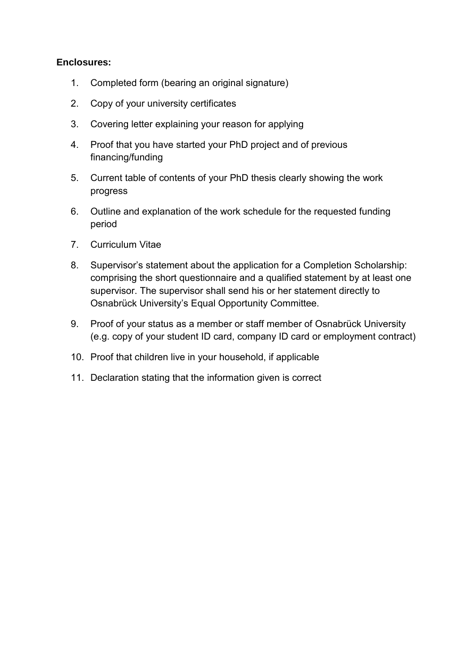#### **Enclosures:**

- 1. Completed form (bearing an original signature)
- 2. Copy of your university certificates
- 3. Covering letter explaining your reason for applying
- 4. Proof that you have started your PhD project and of previous financing/funding
- 5. Current table of contents of your PhD thesis clearly showing the work progress
- 6. Outline and explanation of the work schedule for the requested funding period
- 7. Curriculum Vitae
- 8. Supervisor's statement about the application for a Completion Scholarship: comprising the short questionnaire and a qualified statement by at least one supervisor. The supervisor shall send his or her statement directly to Osnabrück University's Equal Opportunity Committee.
- 9. Proof of your status as a member or staff member of Osnabrück University (e.g. copy of your student ID card, company ID card or employment contract)
- 10. Proof that children live in your household, if applicable
- 11. Declaration stating that the information given is correct